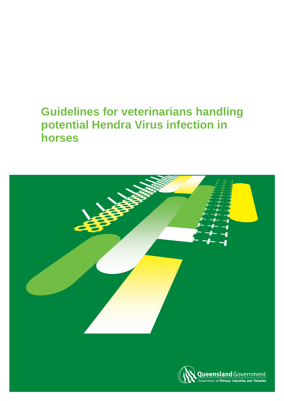# **Guidelines for veterinarians handling potential Hendra Virus infection in horses**

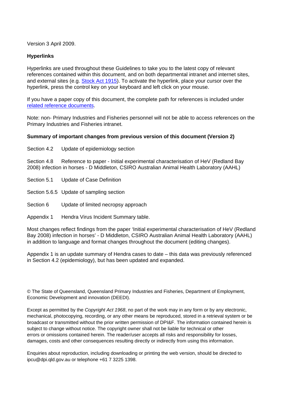Version 3 April 2009.

#### **Hyperlinks**

Hyperlinks are used throughout these Guidelines to take you to the latest copy of relevant references contained within this document, and on both departmental intranet and internet sites, and external sites (e.g. [Stock Act 1915](http://www.legislation.qld.gov.au/LEGISLTN/CURRENT/S/StockA15.pdf)). To activate the hyperlink, place your cursor over the hyperlink, press the control key on your keyboard and left click on your mouse.

<span id="page-1-0"></span>If you have a paper copy of this document, the complete path for references is included under [related reference documents.](#page-1-0)

Note: non- Primary Industries and Fisheries personnel will not be able to access references on the Primary Industries and Fisheries intranet.

#### **Summary of important changes from previous version of this document (Version 2)**

Section 4.2 Update of epidemiology section

Section 4.8 Reference to paper - Initial experimental characterisation of HeV (Redland Bay 2008) infection in horses - D Middleton, CSIRO Australian Animal Health Laboratory (AAHL)

- Section 5.1 Update of Case Definition
- Section 5.6.5 Update of sampling section
- Section 6 Update of limited necropsy approach
- Appendix 1 Hendra Virus Incident Summary table.

Most changes reflect findings from the paper 'Initial experimental characterisation of HeV (Redland Bay 2008) infection in horses' - D Middleton, CSIRO Australian Animal Health Laboratory (AAHL) in addition to language and format changes throughout the document (editing changes).

Appendix 1 is an update summary of Hendra cases to date – this data was previously referenced in Section 4.2 (epidemiology), but has been updated and expanded.

© The State of Queensland, Queensland Primary Industries and Fisheries, Department of Employment, Economic Development and innovation (DEEDI).

Except as permitted by the *Copyright Act 1968*, no part of the work may in any form or by any electronic, mechanical, photocopying, recording, or any other means be reproduced, stored in a retrieval system or be broadcast or transmitted without the prior written permission of DPI&F. The information contained herein is subject to change without notice. The copyright owner shall not be liable for technical or other errors or omissions contained herein. The reader/user accepts all risks and responsibility for losses, damages, costs and other consequences resulting directly or indirectly from using this information.

Enquiries about reproduction, including downloading or printing the web version, should be directed to ipcu@dpi.qld.gov.au or telephone +61 7 3225 1398.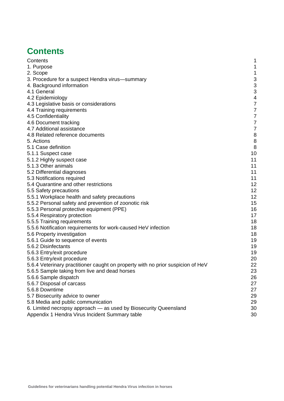## <span id="page-2-0"></span>**Contents**

| Contents                                                                        | 1                        |
|---------------------------------------------------------------------------------|--------------------------|
| 1. Purpose                                                                      | 1                        |
| 2. Scope                                                                        | 1                        |
| 3. Procedure for a suspect Hendra virus-summary                                 | 3                        |
| 4. Background information                                                       | 3                        |
| 4.1 General                                                                     | 3                        |
| 4.2 Epidemiology                                                                | $\overline{\mathcal{A}}$ |
| 4.3 Legislative basis or considerations                                         | 7                        |
| 4.4 Training requirements                                                       | 7                        |
| 4.5 Confidentiality                                                             | 7                        |
| 4.6 Document tracking                                                           | 7                        |
| 4.7 Additional assistance                                                       | 7                        |
| 4.8 Related reference documents                                                 | 8                        |
| 5. Actions                                                                      | 8                        |
| 5.1 Case definition                                                             | 8                        |
| 5.1.1 Suspect case                                                              | 10                       |
| 5.1.2 Highly suspect case                                                       | 11                       |
| 5.1.3 Other animals                                                             | 11                       |
| 5.2 Differential diagnoses                                                      | 11                       |
| 5.3 Notifications required                                                      | 11                       |
| 5.4 Quarantine and other restrictions                                           | 12                       |
| 5.5 Safety precautions                                                          | 12                       |
| 5.5.1 Workplace health and safety precautions                                   | 12                       |
| 5.5.2 Personal safety and prevention of zoonotic risk                           | 15                       |
| 5.5.3 Personal protective equipment (PPE)                                       | 16                       |
| 5.5.4 Respiratory protection                                                    | 17                       |
| 5.5.5 Training requirements                                                     | 18                       |
| 5.5.6 Notification requirements for work-caused HeV infection                   | 18                       |
| 5.6 Property investigation                                                      | 18                       |
| 5.6.1 Guide to sequence of events                                               | 19                       |
| 5.6.2 Disinfectants                                                             | 19                       |
| 5.6.3 Entry/exit procedure                                                      | 19                       |
| 5.6.3 Entry/exit procedure                                                      | 20                       |
| 5.6.4 Veterinary practitioner caught on property with no prior suspicion of HeV | 22                       |
| 5.6.5 Sample taking from live and dead horses                                   | 23                       |
| 5.6.6 Sample dispatch                                                           | 26                       |
| 5.6.7 Disposal of carcass                                                       | 27                       |
| 5.6.8 Downtime                                                                  | 27                       |
| 5.7 Biosecurity advice to owner                                                 | 29                       |
| 5.8 Media and public communication                                              | 29                       |
| 6. Limited necropsy approach - as used by Biosecurity Queensland                | 30                       |
| Appendix 1 Hendra Virus Incident Summary table                                  | 30                       |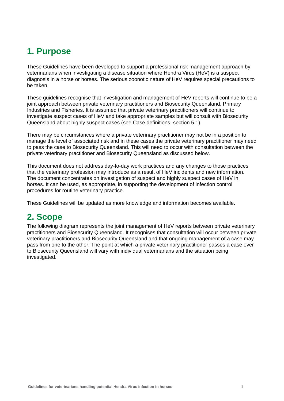## <span id="page-3-0"></span>**1. Purpose**

These Guidelines have been developed to support a professional risk management approach by veterinarians when investigating a disease situation where Hendra Virus (HeV) is a suspect diagnosis in a horse or horses. The serious zoonotic nature of HeV requires special precautions to be taken.

These guidelines recognise that investigation and management of HeV reports will continue to be a joint approach between private veterinary practitioners and Biosecurity Queensland, Primary Industries and Fisheries. It is assumed that private veterinary practitioners will continue to investigate suspect cases of HeV and take appropriate samples but will consult with Biosecurity Queensland about highly suspect cases (see Case definitions, section 5.1).

There may be circumstances where a private veterinary practitioner may not be in a position to manage the level of associated risk and in these cases the private veterinary practitioner may need to pass the case to Biosecurity Queensland. This will need to occur with consultation between the private veterinary practitioner and Biosecurity Queensland as discussed below.

This document does not address day-to-day work practices and any changes to those practices that the veterinary profession may introduce as a result of HeV incidents and new information. The document concentrates on investigation of suspect and highly suspect cases of HeV in horses. It can be used, as appropriate, in supporting the development of infection control procedures for routine veterinary practice.

These Guidelines will be updated as more knowledge and information becomes available.

## <span id="page-3-1"></span>**2. Scope**

The following diagram represents the joint management of HeV reports between private veterinary practitioners and Biosecurity Queensland. It recognises that consultation will occur between private veterinary practitioners and Biosecurity Queensland and that ongoing management of a case may pass from one to the other. The point at which a private veterinary practitioner passes a case over to Biosecurity Queensland will vary with individual veterinarians and the situation being investigated.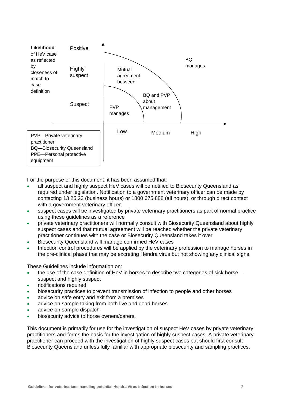

For the purpose of this document, it has been assumed that:

- all suspect and highly suspect HeV cases will be notified to Biosecurity Queensland as required under legislation. Notification to a government veterinary officer can be made by contacting 13 25 23 (business hours) or 1800 675 888 (all hours), or through direct contact with a government veterinary officer.
- suspect cases will be investigated by private veterinary practitioners as part of normal practice using these guidelines as a reference
- private veterinary practitioners will normally consult with Biosecurity Queensland about highly suspect cases and that mutual agreement will be reached whether the private veterinary practitioner continues with the case or Biosecurity Queensland takes it over
- Biosecurity Queensland will manage confirmed HeV cases
- Infection control procedures will be applied by the veterinary profession to manage horses in the pre-clinical phase that may be excreting Hendra virus but not showing any clinical signs.

These Guidelines include information on:

- the use of the case definition of HeV in horses to describe two categories of sick horse suspect and highly suspect
- notifications required
- biosecurity practices to prevent transmission of infection to people and other horses
- advice on safe entry and exit from a premises
- advice on sample taking from both live and dead horses
- advice on sample dispatch
- biosecurity advice to horse owners/carers.

This document is primarily for use for the investigation of suspect HeV cases by private veterinary practitioners and forms the basis for the investigation of highly suspect cases. A private veterinary practitioner can proceed with the investigation of highly suspect cases but should first consult Biosecurity Queensland unless fully familiar with appropriate biosecurity and sampling practices.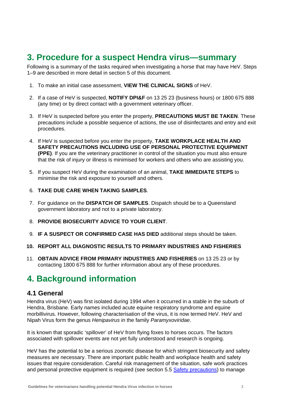## <span id="page-5-0"></span>**3. Procedure for a suspect Hendra virus—summary**

Following is a summary of the tasks required when investigating a horse that may have HeV. Steps 1–9 are described in more detail in section 5 of this document.

- 1. To make an initial case assessment, **VIEW THE CLINICAL SIGNS** of HeV.
- 2. If a case of HeV is suspected, **NOTIFY DPI&F** on 13 25 23 (business hours) or 1800 675 888 (any time) or by direct contact with a government veterinary officer.
- 3. If HeV is suspected before you enter the property, **PRECAUTIONS MUST BE TAKEN**. These precautions include a possible sequence of actions, the use of disinfectants and entry and exit procedures.
- 4. If HeV is suspected before you enter the property, **TAKE WORKPLACE HEALTH AND SAFETY PRECAUTIONS INCLUDING USE OF PERSONAL PROTECTIVE EQUIPMENT (PPE)**. If you are the veterinary practitioner in control of the situation you must also ensure that the risk of injury or illness is minimised for workers and others who are assisting you.
- 5. If you suspect HeV during the examination of an animal, **TAKE IMMEDIATE STEPS** to minimise the risk and exposure to yourself and others.
- 6. **TAKE DUE CARE WHEN TAKING SAMPLES**.
- 7. For guidance on the **DISPATCH OF SAMPLES**. Dispatch should be to a Queensland government laboratory and not to a private laboratory.
- 8. **PROVIDE BIOSECURITY ADVICE TO YOUR CLIENT**.
- 9. **IF A SUSPECT OR CONFIRMED CASE HAS DIED** additional steps should be taken.
- **10. REPORT ALL DIAGNOSTIC RESULTS TO PRIMARY INDUSTRIES AND FISHERIES**
- 11. **OBTAIN ADVICE FROM PRIMARY INDUSTRIES AND FISHERIES** on 13 25 23 or by contacting 1800 675 888 for further information about any of these procedures.

## <span id="page-5-1"></span>**4. Background information**

### <span id="page-5-2"></span>**4.1 General**

Hendra virus (HeV) was first isolated during 1994 when it occurred in a stable in the suburb of Hendra, Brisbane. Early names included acute equine respiratory syndrome and equine morbillivirus. However, following characterisation of the virus, it is now termed HeV. HeV and Nipah Virus form the genus *Henipavirus* in the family *Paramyxoviridae*.

It is known that sporadic 'spillover' of HeV from flying foxes to horses occurs. The factors associated with spillover events are not yet fully understood and research is ongoing.

HeV has the potential to be a serious zoonotic disease for which stringent biosecurity and safety measures are necessary. There are important public health and workplace health and safety issues that require consideration. Careful risk management of the situation, safe work practices and personal protective equipment is required (see section 5.5 [Safety precautions\)](#page-14-1) to manage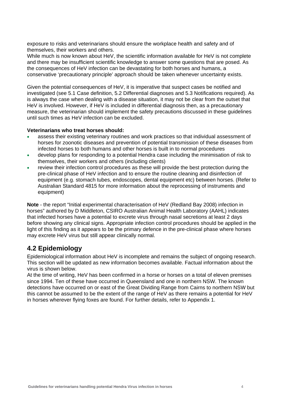exposure to risks and veterinarians should ensure the workplace health and safety and of themselves, their workers and others.

While much is now known about HeV, the scientific information available for HeV is not complete and there may be insufficient scientific knowledge to answer some questions that are posed. As the consequences of HeV infection can be devastating for both horses and humans, a conservative 'precautionary principle' approach should be taken whenever uncertainty exists.

Given the potential consequences of HeV, it is imperative that suspect cases be notified and investigated (see 5.1 Case definition, 5.2 Differential diagnoses and 5.3 Notifications required). As is always the case when dealing with a disease situation, it may not be clear from the outset that HeV is involved. However, if HeV is included in differential diagnosis then, as a precautionary measure, the veterinarian should implement the safety precautions discussed in these guidelines until such times as HeV infection can be excluded.

#### **Veterinarians who treat horses should:**

- assess their existing veterinary routines and work practices so that individual assessment of horses for zoonotic diseases and prevention of potential transmission of these diseases from infected horses to both humans and other horses is built in to normal procedures
- develop plans for responding to a potential Hendra case including the minimisation of risk to themselves, their workers and others (including clients)
- review their infection control procedures as these will provide the best protection during the pre-clinical phase of HeV infection and to ensure the routine cleaning and disinfection of equipment (e.g. stomach tubes, endoscopes, dental equipment etc) between horses. (Refer to Australian Standard 4815 for more information about the reprocessing of instruments and equipment)

**Note** - the report "Initial experimental characterisation of HeV (Redland Bay 2008) infection in horses" authored by D Middleton, CSIRO Australian Animal Health Laboratory (AAHL) indicates that infected horses have a potential to excrete virus through nasal secretions at least 2 days before showing any clinical signs. Appropriate infection control procedures should be applied in the light of this finding as it appears to be the primary defence in the pre-clinical phase where horses may excrete HeV virus but still appear clinically normal.

## <span id="page-6-0"></span>**4.2 Epidemiology**

Epidemiological information about HeV is incomplete and remains the subject of ongoing research. This section will be updated as new information becomes available. Factual information about the virus is shown below.

At the time of writing, HeV has been confirmed in a horse or horses on a total of eleven premises since 1994. Ten of these have occurred in Queensland and one in northern NSW. The known detections have occurred on or east of the Great Dividing Range from Cairns to northern NSW but this cannot be assumed to be the extent of the range of HeV as there remains a potential for HeV in horses wherever flying foxes are found. For further details, refer to Appendix 1.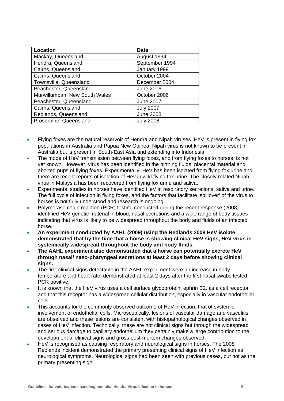| Location                      | <b>Date</b>      |
|-------------------------------|------------------|
| Mackay, Queensland            | August 1994      |
| Hendra, Queensland            | September 1994   |
| Cairns, Queensland            | January 1999     |
| Cairns, Queensland            | October 2004     |
| Townsville, Queensland        | December 2004    |
| Peachester, Queensland        | <b>June 2006</b> |
| Murwillumbah, New South Wales | October 2006     |
| Peachester, Queensland        | <b>June 2007</b> |
| Cairns, Queensland            | <b>July 2007</b> |
| Redlands, Queensland          | <b>June 2008</b> |
| Proserpine, Queensland        | <b>July 2008</b> |

- Flying foxes are the natural reservoir of Hendra and Nipah viruses. HeV is present in flying fox populations in Australia and Papua New Guinea. Nipah virus is not known to be present in Australia but is present in South-East Asia and extending into Indonesia.
- The mode of HeV transmission between flying foxes, and from flying foxes to horses, is not yet known. However, virus has been identified in the birthing fluids, placental material and aborted pups of flying foxes. Experimentally, HeV has been isolated from flying fox urine and there are recent reports of isolation of Hev in wild flying fox urine. The closely related Nipah virus in Malaysia has been recovered from flying fox urine and saliva.
- Experimental studies in horses have identified HeV in respiratory secretions, saliva and urine. The full cycle of infection in flying foxes, and the factors that facilitate 'spillover' of the virus to horses is not fully understood and research is ongoing.
- Polymerase chain reaction (PCR) testing conducted during the recent response (2008) identified HeV genetic material in blood, nasal secretions and a wide range of body tissues indicating that virus is likely to be widespread throughout the body and fluids of an infected horse.
- **An experiment conducted by AAHL (2009) using the Redlands 2008 HeV isolate demonstrated that by the time that a horse is showing clinical HeV signs, HeV virus is systemically widespread throughout the body and body fluids.**
- **The AAHL experiment also demonstrated that a horse can potentially excrete HeV through nasal/ naso-pharyngeal secretions at least 2 days before showing clinical signs.**
- The first clinical signs detectable in the AAHL experiment were an increase in body temperature and heart rate, demonstrated at least 2 days after the first nasal swabs tested PCR positive.
- It is known that the HeV virus uses a cell surface glycoprotein, ephrin B2, as a cell receptor and that this receptor has a widespread cellular distribution, especially in vascular endothelial cells.
- This accounts for the commonly observed outcome of HeV infection, that of systemic involvement of endothelial cells. Microscopically, lesions of vascular damage and vasculitis are observed and these lesions are consistent with histopathological changes observed in cases of HeV infection. Technically, these are not clinical signs but through the widespread and serious damage to capillary endothelium they certainly make a large contribution to the development of clinical signs and gross post-mortem changes observed.
- HeV is recognised as causing respiratory and neurological signs in horses. The 2008 Redlands incident demonstrated the primary presenting clinical signs of HeV infection as neurological symptoms. Neurological signs had been seen with previous cases, but not as the primary presenting sign.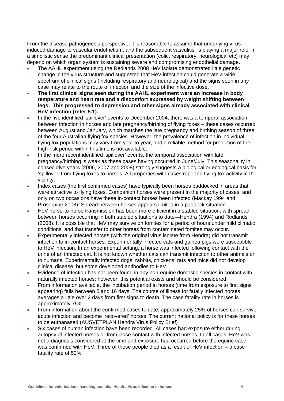From the disease pathogenesis perspective, it is reasonable to assume that underlying virusinduced damage to vascular endothelium, and the subsequent vasculitis, is playing a major role. In a simplistic sense the predominant clinical presentation (colic, respiratory, neurological etc) may depend on which organ system is sustaining severe and compromising endothelial damage.

- The AAHL experiment using the Redlands 2008 HeV isolate demonstrated little genetic change in the virus structure and suggested that HeV infection could generate a wide spectrum of clinical signs (including respiratory and neurological) and the signs seen in any case may relate to the route of infection and the size of the infective dose.
- **The first clinical signs seen during the AAHL experiment were an increase in body temperature and heart rate and a discomfort expressed by weight shifting between legs. This progressed to depression and other signs already associated with clinical HeV infection (refer 5.1).**
- In the five identified 'spillover' events to December 2004, there was a temporal association between infection in horses and late pregnancy/birthing of flying foxes – these cases occurred between August and January, which matches the late pregnancy and birthing season of three of the four Australian flying fox species. However, the prevalence of infection in individual flying fox populations may vary from year to year, and a reliable method for prediction of the high-risk period within this time is not available.
- In the more recent identified 'spillover' events, the temporal association with late pregnancy/birthing is weak as these cases having occurred in June/July. This seasonality in consecutive years (2006, 2007 and 2008) strongly suggests a biological or ecological basis for 'spillover' from flying foxes to horses. All properties with cases reported flying fox activity in the vicinity.
- Index cases (the first confirmed cases) have typically been horses paddocked in areas that were attractive to flying foxes. Companion horses were present in the majority of cases, and only on two occasions have these in-contact horses been infected (Mackay 1994 and Proserpine 2008). Spread between horses appears limited in a paddock situation.
- HeV horse-to-horse transmission has been more efficient in a stabled situation, with spread between horses occurring in both stabled situations to date—Hendra (1994) and Redlands (2008). It is possible that HeV may survive on fomites for a period of hours under mild climatic conditions, and that transfer to other horses from contaminated fomites may occur.
- Experimentally infected horses (with the original virus isolate from Hendra) did not transmit infection to in-contact horses. Experimentally infected cats and guinea pigs were susceptible to HeV infection. In an experimental setting, a horse was infected following contact with the urine of an infected cat. It is not known whether cats can transmit infection to other animals or to humans. Experimentally infected dogs, rabbits, chickens, rats and mice did not develop clinical disease, but some developed antibodies to HeV.
- Evidence of infection has not been found in any non-equine domestic species in contact with naturally infected horses; however, this potential exists and should be considered.
- From information available, the incubation period in horses (time from exposure to first signs appearing) falls between 5 and 16 days. The course of illness for fatally infected horses averages a little over 2 days from first signs to death. The case fatality rate in horses is approximately 75%.
- From information about the confirmed cases to date, approximately 25% of horses can survive acute infection and become 'recovered' horses. The current national policy is for these horses to be euthanased (AUSVETPLAN Hendra Virus Policy Brief)
- Six cases of human infection have been recorded. All cases had exposure either during autopsy of infected horses or from close contact with infected horses. In all cases, HeV was not a diagnosis considered at the time and exposure had occurred before the equine case was confirmed with HeV. Three of these people died as a result of HeV infection – a case fatality rate of 50%.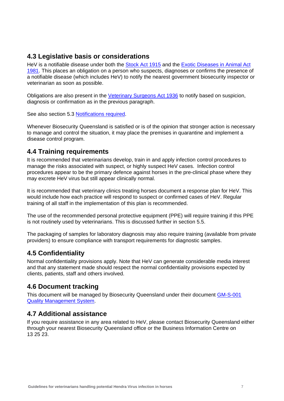## <span id="page-9-0"></span>**4.3 Legislative basis or considerations**

HeV is a notifiable disease under both the [Stock Act 1915](http://www.legislation.qld.gov.au/LEGISLTN/CURRENT/S/StockA15.pdf) and the [Exotic Diseases in Animal Act](http://www.legislation.qld.gov.au/LEGISLTN/CURRENT/E/ExoticDisAnA81.pdf)  [1981](http://www.legislation.qld.gov.au/LEGISLTN/CURRENT/E/ExoticDisAnA81.pdf). This places an obligation on a person who suspects, diagnoses or confirms the presence of a notifiable disease (which includes HeV) to notify the nearest government biosecurity inspector or veterinarian as soon as possible.

Obligations are also present in the [Veterinary Surgeons Act 1936](http://www.legislation.qld.gov.au/LEGISLTN/CURRENT/V/VetSurgA36.pdf) to notify based on suspicion, diagnosis or confirmation as in the previous paragraph.

See also section 5.3 [Notifications required](#page-13-3).

Whenever Biosecurity Queensland is satisfied or is of the opinion that stronger action is necessary to manage and control the situation, it may place the premises in quarantine and implement a disease control program.

## <span id="page-9-1"></span>**4.4 Training requirements**

It is recommended that veterinarians develop, train in and apply infection control procedures to manage the risks associated with suspect, or highly suspect HeV cases. Infection control procedures appear to be the primary defence against horses in the pre-clinical phase where they may excrete HeV virus but still appear clinically normal.

It is recommended that veterinary clinics treating horses document a response plan for HeV. This would include how each practice will respond to suspect or confirmed cases of HeV. Regular training of all staff in the implementation of this plan is recommended.

The use of the recommended personal protective equipment (PPE) will require training if this PPE is not routinely used by veterinarians. This is discussed further in section 5.5.

The packaging of samples for laboratory diagnosis may also require training (available from private providers) to ensure compliance with transport requirements for diagnostic samples.

## <span id="page-9-2"></span>**4.5 Confidentiality**

Normal confidentiality provisions apply. Note that HeV can generate considerable media interest and that any statement made should respect the normal confidentiality provisions expected by clients, patients, staff and others involved.

## <span id="page-9-3"></span>**4.6 Document tracking**

This document will be managed by Biosecurity Queensland under their document GM-S-001 Quality Management System.

## <span id="page-9-4"></span>**4.7 Additional assistance**

If you require assistance in any area related to HeV, please contact Biosecurity Queensland either through your nearest Biosecurity Queensland office or the Business Information Centre on 13 25 23.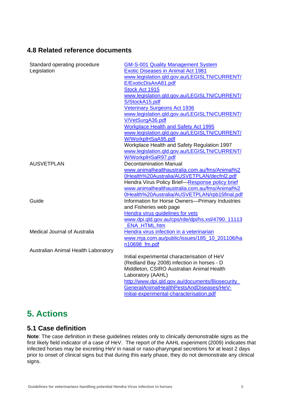## **[4.8 Related reference do](http://www.dpi.qld.gov.au/../../../../mcallisj/Application%20Data/bewgs/EmergencyResponse/EMU/QMS%20Documents/SOP/Authorised/GM-S-001%20Quality%20Management%20System.dot)cuments**

| Standard operating procedure        | <b>GM-S-001 Quality Management System</b>        |
|-------------------------------------|--------------------------------------------------|
| Legislation                         | <b>Exotic Diseases in Animal Act 1981</b>        |
|                                     | www.legislation.gld.gov.au/LEGISLTN/CURRENT/     |
|                                     | E/ExoticDisAnA81.pdf                             |
|                                     | Stock Act 1915                                   |
|                                     | www.legislation.gld.gov.au/LEGISLTN/CURRENT/     |
|                                     | S/StockA15.pdf                                   |
|                                     | <b>Veterinary Surgeons Act 1936</b>              |
|                                     | www.legislation.gld.gov.au/LEGISLTN/CURRENT/     |
|                                     | V/VetSurgA36.pdf                                 |
|                                     | <b>Workplace Health and Safety Act 1995</b>      |
|                                     | www.legislation.gld.gov.au/LEGISLTN/CURRENT/     |
|                                     | W/WorkplHSaA95.pdf                               |
|                                     | Workplace Health and Safety Regulation 1997      |
|                                     | www.legislation.gld.gov.au/LEGISLTN/CURRENT/     |
|                                     | W/WorkplHSaR97.pdf                               |
| <b>AUSVETPLAN</b>                   | <b>Decontamination Manual</b>                    |
|                                     | www.animalhealthaustralia.com.au/fms/Animal%2    |
|                                     | 0Health%20Australia/AUSVETPLAN/decfnl2.pdf       |
|                                     | Hendra Virus Policy Brief-Response policy brief  |
|                                     | www.animalhealthaustralia.com.au/fms/Animal%2    |
|                                     | 0Health%20Australia/AUSVETPLAN/rpb15final.pdf    |
| Guide                               | Information for Horse Owners-Primary Industries  |
|                                     | and Fisheries web page                           |
|                                     | Hendra virus guidelines for vets                 |
|                                     | www.dpi.qld.gov.au/cps/rde/dpi/hs.xsl/4790_11113 |
|                                     | <b>ENA HTML.htm</b>                              |
| Medical Journal of Australia        | Hendra virus infection in a veterinarian         |
|                                     | www.mja.com.au/public/issues/185_10_201106/ha    |
|                                     | n10698 fm.pdf                                    |
| Australian Animal Health Laboratory |                                                  |
|                                     | Initial experimental characterisation of HeV     |
|                                     | (Redland Bay 2008) infection in horses - D       |
|                                     | Middleton, CSIRO Australian Animal Health        |
|                                     | Laboratory (AAHL)                                |
|                                     | http://www.dpi.gld.gov.au/documents/Biosecurity  |
|                                     | GeneralAnimalHealthPestsAndDiseases/HeV-         |
|                                     | Initial-experimental-characterisation.pdf        |
|                                     |                                                  |

## <span id="page-10-1"></span>**5. Actions**

## <span id="page-10-2"></span>**5.1 Case definition**

<span id="page-10-0"></span>**Note**: The case definition in these guidelines relates only to clinically demonstrable signs as the first likely field indicator of a case of HeV. The report of the AAHL experiment (2009) indicates that infected horses may be excreting HeV in nasal or naso-pharyngeal secretions for at least 2 days prior to onset of clinical signs but that during this early phase, they do not demonstrate any clinical signs.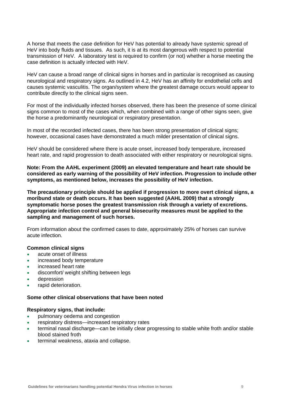A horse that meets the case definition for HeV has potential to already have systemic spread of HeV into body fluids and tissues. As such, it is at its most dangerous with respect to potential transmission of HeV. A laboratory test is required to confirm (or not) whether a horse meeting the case definition is actually infected with HeV.

HeV can cause a broad range of clinical signs in horses and in particular is recognised as causing neurological and respiratory signs. As outlined in 4.2, HeV has an affinity for endothelial cells and causes systemic vasculitis. The organ/system where the greatest damage occurs would appear to contribute directly to the clinical signs seen.

For most of the individually infected horses observed, there has been the presence of some clinical signs common to most of the cases which, when combined with a range of other signs seen, give the horse a predominantly neurological or respiratory presentation.

In most of the recorded infected cases, there has been strong presentation of clinical signs; however, occasional cases have demonstrated a much milder presentation of clinical signs.

HeV should be considered where there is acute onset, increased body temperature, increased heart rate, and rapid progression to death associated with either respiratory or neurological signs.

**Note: From the AAHL experiment (2009) an elevated temperature and heart rate should be considered as early warning of the possibility of HeV infection. Progression to include other symptoms, as mentioned below, increases the possibility of HeV infection.** 

**The precautionary principle should be applied if progression to more overt clinical signs, a moribund state or death occurs. It has been suggested (AAHL 2009) that a strongly symptomatic horse poses the greatest transmission risk through a variety of excretions. Appropriate infection control and general biosecurity measures must be applied to the sampling and management of such horses.** 

From information about the confirmed cases to date, approximately 25% of horses can survive acute infection.

#### **Common clinical signs**

- acute onset of illness
- increased body temperature
- increased heart rate
- discomfort/ weight shifting between legs
- depression
- rapid deterioration.

#### **Some other clinical observations that have been noted**

#### **Respiratory signs, that include:**

- pulmonary oedema and congestion
- respiratory distress—increased respiratory rates
- terminal nasal discharge—can be initially clear progressing to stable white froth and/or stable blood stained froth
- terminal weakness, ataxia and collapse.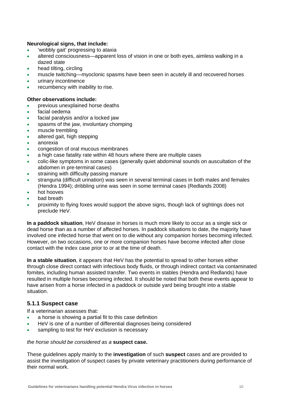#### **Neurological signs, that include:**

- 'wobbly gait' progressing to ataxia
- altered consciousness—apparent loss of vision in one or both eyes, aimless walking in a dazed state
- head tilting, circling
- muscle twitching—myoclonic spasms have been seen in acutely ill and recovered horses
- urinary incontinence
- recumbency with inability to rise.

#### **Other observations include:**

- previous unexplained horse deaths
- facial oedema
- facial paralysis and/or a locked jaw
- spasms of the jaw, involuntary chomping
- muscle trembling
- altered gait, high stepping
- anorexia
- congestion of oral mucous membranes
- a high case fatality rate within 48 hours where there are multiple cases
- colic-like symptoms in some cases (generally quiet abdominal sounds on auscultation of the abdomen in pre-terminal cases)
- straining with difficulty passing manure
- stranguria (difficult urination) was seen in several terminal cases in both males and females (Hendra 1994); dribbling urine was seen in some terminal cases (Redlands 2008)
- hot hooves
- bad breath
- proximity to flying foxes would support the above signs, though lack of sightings does not preclude HeV.

**In a paddock situation**, HeV disease in horses is much more likely to occur as a single sick or dead horse than as a number of affected horses. In paddock situations to date, the majority have involved one infected horse that went on to die without any companion horses becoming infected. However, on two occasions, one or more companion horses have become infected after close contact with the index case prior to or at the time of death.

**In a stable situation**, it appears that HeV has the potential to spread to other horses either through close direct contact with infectious body fluids, or through indirect contact via contaminated fomites, including human assisted transfer. Two events in stables (Hendra and Redlands) have resulted in multiple horses becoming infected. It should be noted that both these events appear to have arisen from a horse infected in a paddock or outside yard being brought into a stable situation.

#### <span id="page-12-0"></span>**5.1.1 Suspect case**

If a veterinarian assesses that:

- a horse is showing a partial fit to this case definition
- HeV is one of a number of differential diagnoses being considered
- sampling to test for HeV exclusion is necessary

#### *the horse should be considered as a* **suspect case.**

These guidelines apply mainly to the **investigation** of such **suspect** cases and are provided to assist the investigation of suspect cases by private veterinary practitioners during performance of their normal work.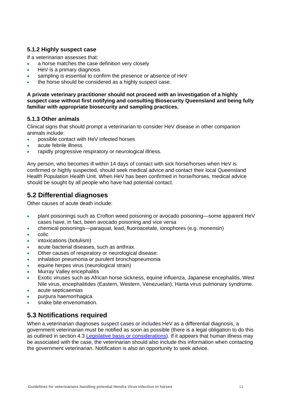#### <span id="page-13-0"></span>**5.1.2 Highly suspect case**

If a veterinarian assesses that:

- a horse matches the case definition very closely
- HeV is a primary diagnosis
- sampling is essential to confirm the presence or absence of HeV
- the horse should be considered as a highly suspect case.

**A private veterinary practitioner should not proceed with an investigation of a highly suspect case without first notifying and consulting Biosecurity Queensland and being fully familiar with appropriate biosecurity and sampling practices.** 

#### <span id="page-13-1"></span>**5.1.3 Other animals**

Clinical signs that should prompt a veterinarian to consider HeV disease in other companion animals include:

- possible contact with HeV infected horses
- acute febrile illness
- rapidly progressive respiratory or neurological illness.

Any person, who becomes ill within 14 days of contact with sick horse/horses when HeV is confirmed or highly suspected, should seek medical advice and contact their local Queensland Health Population Health Unit. When HeV has been confirmed in horse/horses, medical advice should be sought by all people who have had potential contact.

## <span id="page-13-2"></span>**5.2 Differential diagnoses**

Other causes of acute death include:

- plant poisonings such as Crofton weed poisoning or avocado poisoning—some apparent HeV cases have, in fact, been avocado poisoning and vice versa
- chemical poisonings—paraquat, lead, fluoroacetate, ionophores (e.g. monensin)
- colic
- intoxications (botulism)
- acute bacterial diseases, such as anthrax.
- Other causes of respiratory or neurological disease:
- inhalation pneumonia or purulent bronchopneumonia
- equine herpes virus (neurological strain)
- Murray Valley encephalitis
- Exotic viruses such as African horse sickness, equine influenza, Japanese encephalitis, West Nile virus, encephalitides (Eastern, Western, Venezuelan), Hanta virus pulmonary syndrome.
- acute septicaemias
- purpura haemorrhagica
- snake bite envenomation.

## <span id="page-13-3"></span>**5.3 Notifications required**

<span id="page-13-4"></span>When a veterinarian diagnoses suspect cases or includes HeV as a differential diagnosis, a government veterinarian must be notified as soon as possible (there is a legal obligation to do this as outlined in section 4.3 [Legislative basis or considerations](#page-13-4)). If it appears that human illness may be associated with the case, the veterinarian should also include this information when contacting the government veterinarian. Notification is also an opportunity to seek advice.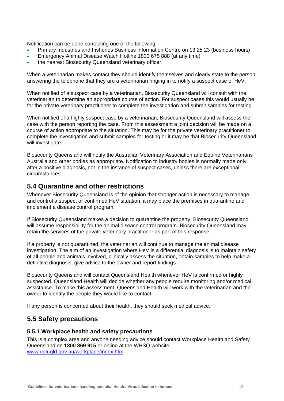Notification can be done contacting one of the following:

- Primary Industries and Fisheries Business Information Centre on 13 25 23 (business hours)
- Emergency Animal Disease Watch Hotline 1800 675 888 (at any time)
- the nearest Biosecurity Queensland veterinary officer.

When a veterinarian makes contact they should identify themselves and clearly state to the person answering the telephone that they are a veterinarian ringing in to notify a suspect case of HeV.

When notified of a suspect case by a veterinarian, Biosecurity Queensland will consult with the veterinarian to determine an appropriate course of action. For suspect cases this would usually be for the private veterinary practitioner to complete the investigation and submit samples for testing.

When notified of a highly suspect case by a veterinarian, Biosecurity Queensland will assess the case with the person reporting the case. From this assessment a joint decision will be made on a course of action appropriate to the situation. This may be for the private veterinary practitioner to complete the investigation and submit samples for testing or it may be that Biosecurity Queensland will investigate.

Biosecurity Queensland will notify the Australian Veterinary Association and Equine Veterinarians Australia and other bodies as appropriate. Notification to industry bodies is normally made only after a positive diagnosis, not in the instance of suspect cases, unless there are exceptional circumstances.

### <span id="page-14-0"></span>**5.4 Quarantine and other restrictions**

Whenever Biosecurity Queensland is of the opinion that stronger action is necessary to manage and control a suspect or confirmed HeV situation, it may place the premises in quarantine and implement a disease control program.

If Biosecurity Queensland makes a decision to quarantine the property, Biosecurity Queensland will assume responsibility for the animal disease control program. Biosecurity Queensland may retain the services of the private veterinary practitioner as part of this response.

If a property is not quarantined, the veterinarian will continue to manage the animal disease investigation. The aim of an investigation where HeV is a differential diagnosis is to maintain safety of all people and animals involved, clinically assess the situation, obtain samples to help make a definitive diagnosis, give advice to the owner and report findings.

Biosecurity Queensland will contact Queensland Health whenever HeV is confirmed or highly suspected. Queensland Health will decide whether any people require monitoring and/or medical assistance. To make this assessment, Queensland Health will work with the veterinarian and the owner to identify the people they would like to contact.

If any person is concerned about their health, they should seek medical advice.

## <span id="page-14-1"></span>**5.5 Safety precautions**

#### <span id="page-14-2"></span>**5.5.1 Workplace health and safety precautions**

This is a complex area and anyone needing advice should contact Workplace Health and Safety Queensland on **1300 369 915** or online at the WHSQ website [www.deir.qld.gov.au/workplace/index.htm](http://www.deir.qld.gov.au/workplace/index.htm)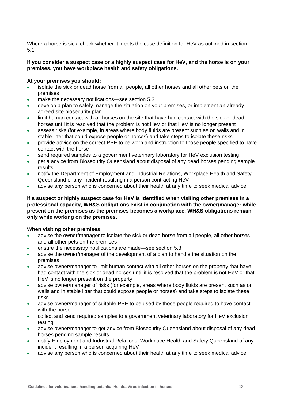Where a horse is sick, check whether it meets the case definition for HeV as outlined in section 5.1.

#### **If you consider a suspect case or a highly suspect case for HeV, and the horse is on your premises, you have workplace health and safety obligations.**

#### **At your premises you should:**

- isolate the sick or dead horse from all people, all other horses and all other pets on the premises
- make the necessary notifications—see section 5.3
- develop a plan to safely manage the situation on your premises, or implement an already agreed site biosecurity plan
- limit human contact with all horses on the site that have had contact with the sick or dead horses until it is resolved that the problem is not HeV or that HeV is no longer present
- assess risks (for example, in areas where body fluids are present such as on walls and in stable litter that could expose people or horses) and take steps to isolate these risks
- provide advice on the correct PPE to be worn and instruction to those people specified to have contact with the horse
- send required samples to a government veterinary laboratory for HeV exclusion testing
- get a advice from Biosecurity Queensland about disposal of any dead horses pending sample results
- notify the Department of Employment and Industrial Relations, Workplace Health and Safety Queensland of any incident resulting in a person contracting HeV
- advise any person who is concerned about their health at any time to seek medical advice.

**If a suspect or highly suspect case for HeV is identified when visiting other premises in a professional capacity, WH&S obligations exist in conjunction with the owner/manager while present on the premises as the premises becomes a workplace. WH&S obligations remain only while working on the premises.** 

#### **When visiting other premises:**

- advise the owner/manager to isolate the sick or dead horse from all people, all other horses and all other pets on the premises
- ensure the necessary notifications are made—see section 5.3
- advise the owner/manager of the development of a plan to handle the situation on the premises
- advise owner/manager to limit human contact with all other horses on the property that have had contact with the sick or dead horses until it is resolved that the problem is not HeV or that HeV is no longer present on the property
- advise owner/manager of risks (for example, areas where body fluids are present such as on walls and in stable litter that could expose people or horses) and take steps to isolate these risks
- advise owner/manager of suitable PPE to be used by those people required to have contact with the horse
- collect and send required samples to a government veterinary laboratory for HeV exclusion testing
- advise owner/manager to get advice from Biosecurity Queensland about disposal of any dead horses pending sample results
- notify Employment and Industrial Relations, Workplace Health and Safety Queensland of any incident resulting in a person acquiring HeV
- advise any person who is concerned about their health at any time to seek medical advice.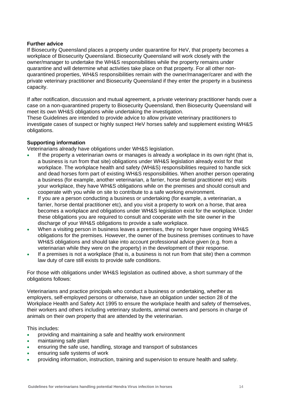#### **Further advice**

If Biosecurity Queensland places a property under quarantine for HeV, that property becomes a workplace of Biosecurity Queensland. Biosecurity Queensland will work closely with the owner/manager to undertake the WH&S responsibilities while the property remains under quarantine and will determine what activities take place on that property. For all other nonquarantined properties, WH&S responsibilities remain with the owner/manager/carer and with the private veterinary practitioner and Biosecurity Queensland if they enter the property in a business capacity.

If after notification, discussion and mutual agreement, a private veterinary practitioner hands over a case on a non-quarantined property to Biosecurity Queensland, then Biosecurity Queensland will meet its own WH&S obligations while undertaking the investigation.

These Guidelines are intended to provide advice to allow private veterinary practitioners to investigate cases of suspect or highly suspect HeV horses safely and supplement existing WH&S obligations.

#### **Supporting information**

Veterinarians already have obligations under WH&S legislation.

- If the property a veterinarian owns or manages is already a workplace in its own right (that is, a business is run from that site) obligations under WH&S legislation already exist for that workplace. The workplace health and safety (WH&S) responsibilities required to handle sick and dead horses form part of existing WH&S responsibilities. When another person operating a business (for example, another veterinarian, a farrier, horse dental practitioner etc) visits your workplace, they have WH&S obligations while on the premises and should consult and cooperate with you while on site to contribute to a safe working environment.
- If you are a person conducting a business or undertaking (for example, a veterinarian, a farrier, horse dental practitioner etc), and you visit a property to work on a horse, that area becomes a workplace and obligations under WH&S legislation exist for the workplace. Under these obligations you are required to consult and cooperate with the site owner in the discharge of your WH&S obligations to provide a safe workplace.
- When a visiting person in business leaves a premises, they no longer have ongoing WH&S obligations for the premises. However, the owner of the business premises continues to have WH&S obligations and should take into account professional advice given (e.g. from a veterinarian while they were on the property) in the development of their response.
- If a premises is not a workplace (that is, a business is not run from that site) then a common law duty of care still exists to provide safe conditions.

For those with obligations under WH&S legislation as outlined above, a short summary of the obligations follows:

Veterinarians and practice principals who conduct a business or undertaking, whether as employers, self-employed persons or otherwise, have an obligation under section 28 of the Workplace Health and Safety Act 1995 to ensure the workplace health and safety of themselves, their workers and others including veterinary students, animal owners and persons in charge of animals on their own property that are attended by the veterinarian.

This includes:

- providing and maintaining a safe and healthy work environment
- maintaining safe plant
- ensuring the safe use, handling, storage and transport of substances
- ensuring safe systems of work
- providing information, instruction, training and supervision to ensure health and safety.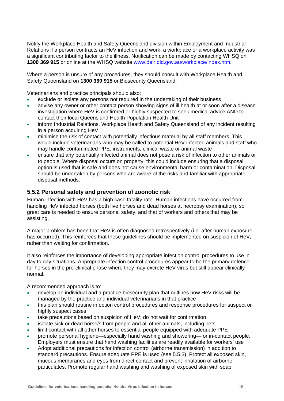Notify the Workplace Health and Safety Queensland division within Employment and Industrial Relations if a person contracts an HeV infection and work, a workplace or a workplace activity was a significant contributing factor to the illness. Notification can be made by contacting WHSQ on **1300 369 915** or online at the WHSQ website [www.deir.qld.gov.au/workplace/index.htm.](http://www.dpi.qld.gov.au/../../../../mcallisj/Application%20Data/bewgs/Local%20Settings/Temporary%20Internet%20Files/OLK85/www.deir.qld.gov.au/workplace/index.htm)

Where a person is unsure of any procedures, they should consult with Workplace Health and Safety Queensland on **1300 369 915** or Biosecurity Queensland.

Veterinarians and practice principals should also:

- exclude or isolate any persons not required in the undertaking of their business
- advise any owner or other contact person showing signs of ill health at or soon after a disease investigation where HeV is confirmed or highly suspected to seek medical advice AND to contact their local Queensland Health Population Health Unit
- inform Industrial Relations, Workplace Health and Safety Queensland of any incident resulting in a person acquiring HeV
- minimise the risk of contact with potentially infectious material by all staff members. This would include veterinarians who may be called to potential HeV infected animals and staff who may handle contaminated PPE, instruments, clinical waste or animal waste
- ensure that any potentially infected animal does not pose a risk of infection to other animals or to people. Where disposal occurs on property, this could include ensuring that a disposal option is used that is safe and does not cause environmental harm or contamination. Disposal should be undertaken by persons who are aware of the risks and familiar with appropriate disposal methods.

#### <span id="page-17-0"></span>**5.5.2 Personal safety and prevention of zoonotic risk**

Human infection with HeV has a high case fatality rate. Human infections have occurred from handling HeV infected horses (both live horses and dead horses at necropsy examination), so great care is needed to ensure personal safety, and that of workers and others that may be assisting.

A major problem has been that HeV is often diagnosed retrospectively (i.e. after human exposure has occurred). This reinforces that these guidelines should be implemented on suspicion of HeV, rather than waiting for confirmation.

It also reinforces the importance of developing appropriate infection control procedures to use in day to day situations. Appropriate infection control procedures appear to be the primary defence for horses in the pre-clinical phase where they may excrete HeV virus but still appear clinically normal.

A recommended approach is to:

- develop an individual and a practice biosecurity plan that outlines how HeV risks will be managed by the practice and individual veterinarians in that practice
- this plan should routine infection control procedures and response procedures for suspect or highly suspect cases
- take precautions based on suspicion of HeV; do not wait for confirmation
- isolate sick or dead horse/s from people and all other animals, including pets
- limit contact with all other horses to essential people equipped with adequate PPE
- promote personal hygiene—especially hand washing and showering—for in-contact people. Employers must ensure that hand washing facilities are readily available for workers' use
- Adopt additional precautions for infection control (airborne transmission) in addition to standard precautions. Ensure adequate PPE is used (see 5.5.3). Protect all exposed skin, mucous membranes and eyes from direct contact and prevent inhalation of airborne particulates. Promote regular hand washing and washing of exposed skin with soap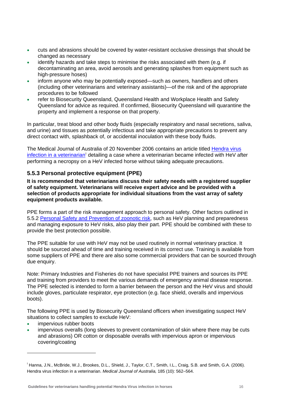- cuts and abrasions should be covered by water-resistant occlusive dressings that should be changed as necessary
- identify hazards and take steps to minimise the risks associated with them (e.g. if decontaminating an area, avoid aerosols and generating splashes from equipment such as high-pressure hoses)
- inform anyone who may be potentially exposed—such as owners, handlers and others (including other veterinarians and veterinary assistants)—of the risk and of the appropriate procedures to be followed
- refer to Biosecurity Queensland, Queensland Health and Workplace Health and Safety Queensland for advice as required. If confirmed, Biosecurity Queensland will quarantine the property and implement a response on that property.

In particular, treat blood and other body fluids (especially respiratory and nasal secretions, saliva, and urine) and tissues as potentially infectious and take appropriate precautions to prevent any direct contact with, splashback of, or accidental inoculation with these body fluids.

The Medical Journal of Australia of 20 November 2006 contains an article titled [Hendra virus](http://www.mja.com.au/public/issues/185_10_201106/han10698_fm.pdf)  [infection in a veterinarian](http://www.mja.com.au/public/issues/185_10_201106/han10698_fm.pdf)<sup>[i](#page-18-1)</sup> detailing a case where a veterinarian became infected with HeV after performing a necropsy on a HeV infected horse without taking adequate precautions.

### <span id="page-18-0"></span>**5.5.3 Personal protective equipment (PPE)**

**It is recommended that veterinarians discuss their safety needs with a registered supplier of safety equipment. Veterinarians will receive expert advice and be provided with a selection of products appropriate for individual situations from the vast array of safety equipment products available.** 

PPE forms a part of the risk management approach to personal safety. Other factors outlined in 5.5.2 [Personal Safety and Prevention of zoonotic risk](#page-17-0), such as HeV planning and preparedness and managing exposure to HeV risks, also play their part. PPE should be combined with these to provide the best protection possible.

The PPE suitable for use with HeV may not be used routinely in normal veterinary practice. It should be sourced ahead of time and training received in its correct use. Training is available from some suppliers of PPE and there are also some commercial providers that can be sourced through due enquiry.

Note: Primary Industries and Fisheries do not have specialist PPE trainers and sources its PPE and training from providers to meet the various demands of emergency animal disease response. The PPE selected is intended to form a barrier between the person and the HeV virus and should include gloves, particulate respirator, eye protection (e.g. face shield, overalls and impervious boots).

The following PPE is used by Biosecurity Queensland officers when investigating suspect HeV situations to collect samples to exclude HeV:

• impervious rubber boots

 impervious overalls (long sleeves to prevent contamination of skin where there may be cuts and abrasions) OR cotton or disposable overalls with impervious apron or impervious covering/coating

<span id="page-18-1"></span>i Hanna, J.N., McBride, W.J., Brookes, D.L., Shield, J., Taylor, C.T., Smith, I.L., Craig, S.B. and Smith, G.A. (2006). Hendra virus infection in a veterinarian. *Medical Journal of Australia,* 185 (10): 562–564.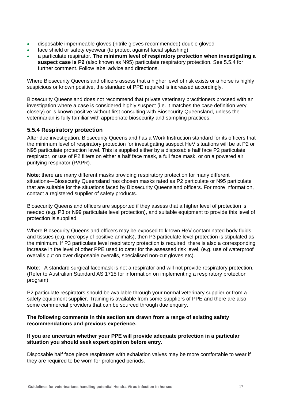- disposable impermeable gloves (nitrile gloves recommended) double gloved
- face shield or safety eyewear (to protect against facial splashing)
- a particulate respirator. **The minimum level of respiratory protection when investigating a suspect case is P2** (also known as N95) particulate respiratory protection. See 5.5.4 for further comment. Follow label advice and directions.

Where Biosecurity Queensland officers assess that a higher level of risk exists or a horse is highly suspicious or known positive, the standard of PPE required is increased accordingly.

Biosecurity Queensland does not recommend that private veterinary practitioners proceed with an investigation where a case is considered highly suspect (i.e. it matches the case definition very closely) or is known positive without first consulting with Biosecurity Queensland, unless the veterinarian is fully familiar with appropriate biosecurity and sampling practices.

### <span id="page-19-0"></span>**5.5.4 Respiratory protection**

After due investigation, Biosecurity Queensland has a Work Instruction standard for its officers that the minimum level of respiratory protection for investigating suspect HeV situations will be at P2 or N95 particulate protection level. This is supplied either by a disposable half face P2 particulate respirator, or use of P2 filters on either a half face mask, a full face mask, or on a powered air purifying respirator (PAPR).

**Note**: there are many different masks providing respiratory protection for many different situations—Biosecurity Queensland has chosen masks rated as P2 particulate or N95 particulate that are suitable for the situations faced by Biosecurity Queensland officers. For more information, contact a registered supplier of safety products.

Biosecurity Queensland officers are supported if they assess that a higher level of protection is needed (e.g. P3 or N99 particulate level protection), and suitable equipment to provide this level of protection is supplied.

Where Biosecurity Queensland officers may be exposed to known HeV contaminated body fluids and tissues (e.g. necropsy of positive animals), then P3 particulate level protection is stipulated as the minimum. If P3 particulate level respiratory protection is required, there is also a corresponding increase in the level of other PPE used to cater for the assessed risk level, (e.g. use of waterproof overalls put on over disposable overalls, specialised non-cut gloves etc).

**Note**: A standard surgical facemask is not a respirator and will not provide respiratory protection. (Refer to Australian Standard AS 1715 for information on implementing a respiratory protection program).

P2 particulate respirators should be available through your normal veterinary supplier or from a safety equipment supplier. Training is available from some suppliers of PPE and there are also some commercial providers that can be sourced through due enquiry.

#### **The following comments in this section are drawn from a range of existing safety recommendations and previous experience.**

#### **If you are uncertain whether your PPE will provide adequate protection in a particular situation you should seek expert opinion before entry.**

Disposable half face piece respirators with exhalation valves may be more comfortable to wear if they are required to be worn for prolonged periods.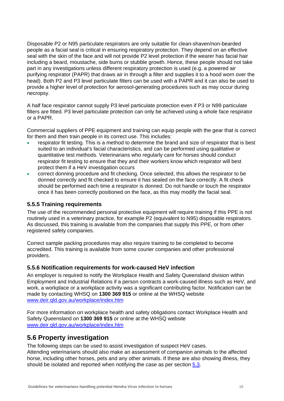Disposable P2 or N95 particulate respirators are only suitable for clean-shaven/non-bearded people as a facial seal is critical in ensuring respiratory protection. They depend on an effective seal with the skin of the face and will not provide P2 level protection if the wearer has facial hair including a beard, moustache, side burns or stubble growth. Hence, these people should not take part in any investigations unless different respiratory protection is used (e.g. a powered air purifying respirator (PAPR) that draws air in through a filter and supplies it to a hood worn over the head). Both P2 and P3 level particulate filters can be used with a PAPR and it can also be used to provide a higher level of protection for aerosol-generating procedures such as may occur during necropsy.

A half face respirator cannot supply P3 level particulate protection even if P3 or N99 particulate filters are fitted. P3 level particulate protection can only be achieved using a whole face respirator or a PAPR.

Commercial suppliers of PPE equipment and training can equip people with the gear that is correct for them and then train people in its correct use. This includes:

- respirator fit testing. This is a method to determine the brand and size of respirator that is best suited to an individual's facial characteristics, and can be performed using qualitative or quantitative test methods. Veterinarians who regularly care for horses should conduct respirator fit testing to ensure that they and their workers know which respirator will best protect them if a HeV investigation occurs
- correct donning procedure and fit checking. Once selected, this allows the respirator to be donned correctly and fit checked to ensure it has sealed on the face correctly. A fit check should be performed each time a respirator is donned. Do not handle or touch the respirator once it has been correctly positioned on the face, as this may modify the facial seal.

#### <span id="page-20-0"></span>**5.5.5 Training requirements**

The use of the recommended personal protective equipment will require training if this PPE is not routinely used in a veterinary practice, for example P2 (equivalent to N95) disposable respirators. As discussed, this training is available from the companies that supply this PPE, or from other registered safety companies.

Correct sample packing procedures may also require training to be completed to become accredited. This training is available from some courier companies and other professional providers.

#### <span id="page-20-1"></span>**5.5.6 Notification requirements for work-caused HeV infection**

An employer is required to notify the Workplace Health and Safety Queensland division within Employment and Industrial Relations if a person contracts a work-caused illness such as HeV, and work, a workplace or a workplace activity was a significant contributing factor. Notification can be made by contacting WHSQ on **1300 369 915** or online at the WHSQ website [www.deir.qld.gov.au/workplace/index.htm](http://www.deir.qld.gov.au/workplace/index.htm)

For more information on workplace health and safety obligations contact Workplace Health and Safety Queensland on **1300 369 915** or online at the WHSQ website [www.deir.qld.gov.au/workplace/index.htm](http://www.deir.qld.gov.au/workplace/index.htm)

## <span id="page-20-2"></span>**5.6 Property investigation**

The following steps can be used to assist investigation of suspect HeV cases. Attending veterinarians should also make an assessment of companion animals to the affected horse, including other horses, pets and any other animals. If these are also showing illness, they should be isolated and reported when notifying the case as per section [5.3.](#page-13-3)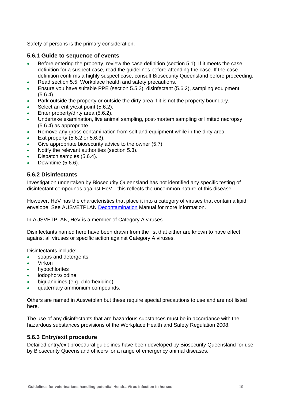Safety of persons is the primary consideration.

#### <span id="page-21-0"></span>**5.6.1 Guide to sequence of events**

- Before entering the property, review the case definition (section 5.1). If it meets the case definition for a suspect case, read the guidelines before attending the case. If the case definition confirms a highly suspect case, consult Biosecurity Queensland before proceeding.
- Read section 5.5, Workplace health and safety precautions.
- Ensure you have suitable PPE (section 5.5.3), disinfectant (5.6.2), sampling equipment (5.6.4).
- Park outside the property or outside the dirty area if it is not the property boundary.
- Select an entry/exit point (5.6.2).
- Enter property/dirty area (5.6.2).
- Undertake examination, live animal sampling, post-mortem sampling or limited necropsy (5.6.4) as appropriate.
- Remove any gross contamination from self and equipment while in the dirty area.
- Exit property (5.6.2 or 5.6.3).
- Give appropriate biosecurity advice to the owner (5.7).
- Notify the relevant authorities (section 5.3).
- Dispatch samples (5.6.4).
- Downtime (5.6.6).

#### <span id="page-21-1"></span>**5.6.2 Disinfectants**

Investigation undertaken by Biosecurity Queensland has not identified any specific testing of disinfectant compounds against HeV—this reflects the uncommon nature of this disease.

However, HeV has the characteristics that place it into a category of viruses that contain a lipid envelope. See AUSVETPLAN [Decontamination](http://www.animalhealthaustralia.com.au/fms/Animal%20Health%20Australia/AUSVETPLAN/decfnl2.pdf) Manual for more information.

In AUSVETPLAN, HeV is a member of Category A viruses.

Disinfectants named here have been drawn from the list that either are known to have effect against all viruses or specific action against Category A viruses.

Disinfectants include:

- soaps and detergents
- Virkon
- hypochlorites
- iodophors/iodine
- biguanidines (e.g. chlorhexidine)
- quaternary ammonium compounds.

Others are named in Ausvetplan but these require special precautions to use and are not listed here.

The use of any disinfectants that are hazardous substances must be in accordance with the hazardous substances provisions of the Workplace Health and Safety Regulation 2008.

#### <span id="page-21-2"></span>**5.6.3 Entry/exit procedure**

Detailed entry/exit procedural guidelines have been developed by Biosecurity Queensland for use by Biosecurity Queensland officers for a range of emergency animal diseases.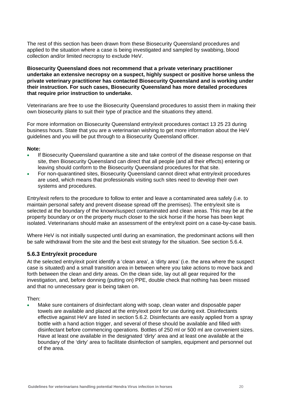The rest of this section has been drawn from these Biosecurity Queensland procedures and applied to the situation where a case is being investigated and sampled by swabbing, blood collection and/or limited necropsy to exclude HeV.

**Biosecurity Queensland does not recommend that a private veterinary practitioner undertake an extensive necropsy on a suspect, highly suspect or positive horse unless the private veterinary practitioner has contacted Biosecurity Queensland and is working under their instruction. For such cases, Biosecurity Queensland has more detailed procedures that require prior instruction to undertake.** 

Veterinarians are free to use the Biosecurity Queensland procedures to assist them in making their own biosecurity plans to suit their type of practice and the situations they attend.

For more information on Biosecurity Queensland entry/exit procedures contact 13 25 23 during business hours. State that you are a veterinarian wishing to get more information about the HeV guidelines and you will be put through to a Biosecurity Queensland officer.

#### **Note:**

- If Biosecurity Queensland quarantine a site and take control of the disease response on that site, then Biosecurity Queensland can direct that all people (and all their effects) entering or leaving should conform to the Biosecurity Queensland procedures for that site.
- For non-quarantined sites, Biosecurity Queensland cannot direct what entry/exit procedures are used, which means that professionals visiting such sites need to develop their own systems and procedures.

Entry/exit refers to the procedure to follow to enter and leave a contaminated area safely (i.e. to maintain personal safety and prevent disease spread off the premises). The entry/exit site is selected at the boundary of the known/suspect contaminated and clean areas. This may be at the property boundary or on the property much closer to the sick horse if the horse has been kept isolated. Veterinarians should make an assessment of the entry/exit point on a case-by-case basis.

Where HeV is not initially suspected until during an examination, the predominant actions will then be safe withdrawal from the site and the best exit strategy for the situation. See section 5.6.4.

#### <span id="page-22-0"></span>**5.6.3 Entry/exit procedure**

At the selected entry/exit point identify a 'clean area', a 'dirty area' (i.e. the area where the suspect case is situated) and a small transition area in between where you take actions to move back and forth between the clean and dirty areas. On the clean side, lay out all gear required for the investigation, and, before donning (putting on) PPE, double check that nothing has been missed and that no unnecessary gear is being taken on.

Then:

 Make sure containers of disinfectant along with soap, clean water and disposable paper towels are available and placed at the entry/exit point for use during exit. Disinfectants effective against HeV are listed in section 5.6.2. Disinfectants are easily applied from a spray bottle with a hand action trigger, and several of these should be available and filled with disinfectant before commencing operations. Bottles of 250 ml or 500 ml are convenient sizes. Have at least one available in the designated 'dirty' area and at least one available at the boundary of the 'dirty' area to facilitate disinfection of samples, equipment and personnel out of the area.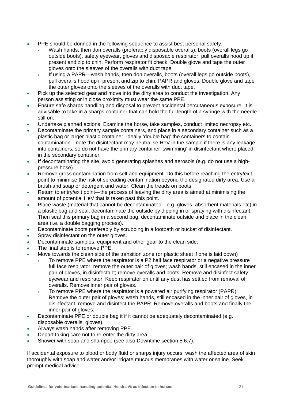- PPE should be donned in the following sequence to assist best personal safety.
	- Wash hands, then don overalls (preferably disposable overalls), boots (overall legs go outside boots), safety eyewear, gloves and disposable respirator, pull overalls hood up if present and zip to chin. Perform respirator fit check. Double glove and tape the outer gloves onto the sleeves of the overalls with duct tape.
	- If using a PAPR—wash hands, then don overalls, boots (overall legs go outside boots), pull overalls hood up if present and zip to chin, PAPR and gloves. Double glove and tape the outer gloves onto the sleeves of the overalls with duct tape.
- Pick up the selected gear and move into the dirty area to conduct the investigation. Any person assisting or in close proximity must wear the same PPE.
- Ensure safe sharps handling and disposal to prevent accidental percutaneous exposure. It is advisable to take in a sharps container that can hold the full length of a syringe with the needle still on.
- Undertake planned actions. Examine the horse, take samples, conduct limited necropsy etc.
- Decontaminate the primary sample containers, and place in a secondary container such as a plastic bag or larger plastic container. Ideally 'double bag' the containers to contain contamination—note the disinfectant may neutralise HeV in the sample if there is any leakage into containers, so do not have the primary container 'swimming' in disinfectant where placed in the secondary container.
- If decontaminating the site, avoid generating splashes and aerosols (e.g. do not use a highpressure hose)
- Remove gross contamination from self and equipment. Do this before reaching the entry/exit point to minimise the risk of spreading contamination beyond the designated dirty area. Use a brush and soap or detergent and water. Clean the treads on boots.
- Return to entry/exit point—the process of leaving the dirty area is aimed at minimising the amount of potential HeV that is taken past this point.
- Place waste (material that cannot be decontaminated—e.g. gloves, absorbent materials etc) in a plastic bag and seal, decontaminate the outside by dipping in or spraying with disinfectant. Then seal this primary bag in a second bag, decontaminate outside and place in the clean area (i.e. a double bagging process).
- Decontaminate boots preferably by scrubbing in a footbath or bucket of disinfectant.
- Spray disinfectant on the outer gloves.
- Decontaminate samples, equipment and other gear to the clean side.
- The final step is to remove PPE.
- Move towards the clean side of the transition zone (or plastic sheet if one is laid down)
	- To remove PPE where the respirator is a P2 half face respirator or a negative pressure full face respirator: remove the outer pair of gloves; wash hands, still encased in the inner pair of gloves, in disinfectant; remove overalls and boots. Remove and disinfect safety eyewear and respirator. Keep respirator on until any dust has settled from removal of overalls. Remove inner pair of gloves.
	- To remove PPE where the respirator is a powered air purifying respirator (PAPR): Remove the outer pair of gloves; wash hands, still encased in the inner pair of gloves, in disinfectant; remove and disinfect the PAPR. Remove overalls and boots and finally the inner pair of gloves;
- Decontaminate PPE or double bag it if it cannot be adequately decontaminated (e.g. disposable overalls, gloves).
- Always wash hands after removing PPE.
- Depart taking care not to re-enter the dirty area.
- Shower with soap and shampoo (see also Downtime section 5.6.7).

If accidental exposure to blood or body fluid or sharps injury occurs, wash the affected area of skin thoroughly with soap and water and/or irrigate mucous membranes with water or saline. Seek prompt medical advice.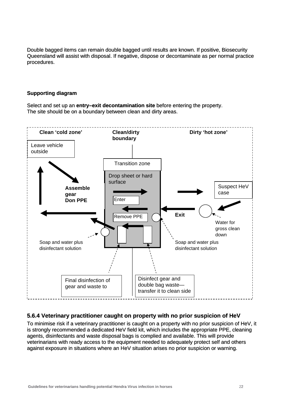Double bagged items can remain double bagged until results are known. If positive, Biosecurity Queensland will assist with disposal. If negative, dispose or decontaminate as per normal practice procedures. procedures.

#### **Supporting diagram**

Select and set up an **entry–exit decontamination site** before entering the property. The site should be on a boundary between clean and dirty areas.



### <span id="page-24-0"></span>**5.6.4 Veterinary practitioner caught on property with no prior suspicion of HeV**

To minimise risk if a veterinary practitioner is caught on a property with no prior suspicion of HeV, it is strongly recommended a dedicated HeV field kit, which includes the appropriate PPE, cleaning agents, disinfectants and waste disposal bags is complied and available. This will provide veterinarians with ready access to the equipment needed to adequately protect self and others against exposure in situations where an HeV situation arises no prior suspicion or warning.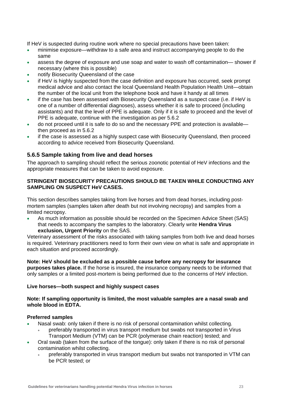If HeV is suspected during routine work where no special precautions have been taken:

- minimise exposure—withdraw to a safe area and instruct accompanying people to do the same
- assess the degree of exposure and use soap and water to wash off contamination— shower if necessary (where this is possible)
- notify Biosecurity Queensland of the case
- if HeV is highly suspected from the case definition and exposure has occurred, seek prompt medical advice and also contact the local Queensland Health Population Health Unit—obtain the number of the local unit from the telephone book and have it handy at all times
- if the case has been assessed with Biosecurity Queensland as a suspect case (i.e. if HeV is one of a number of differential diagnoses), assess whether it is safe to proceed (including assistants) and that the level of PPE is adequate. Only if it is safe to proceed and the level of PPE is adequate, continue with the investigation as per 5.6.2
- do not proceed until it is safe to do so and the necessary PPE and protection is available then proceed as in 5.6.2
- if the case is assessed as a highly suspect case with Biosecurity Queensland, then proceed according to advice received from Biosecurity Queensland.

#### <span id="page-25-0"></span>**5.6.5 Sample taking from live and dead horses**

The approach to sampling should reflect the serious zoonotic potential of HeV infections and the appropriate measures that can be taken to avoid exposure.

#### **STRINGENT BIOSECURITY PRECAUTIONS SHOULD BE TAKEN WHILE CONDUCTING ANY SAMPLING ON SUSPECT HeV CASES.**

This section describes samples taking from live horses and from dead horses, including postmortem samples (samples taken after death but not involving necropsy) and samples from a limited necropsy.

 As much information as possible should be recorded on the Specimen Advice Sheet (SAS) that needs to accompany the samples to the laboratory. Clearly write **Hendra Virus exclusion, Urgent Priority** on the SAS.

Veterinary assessment of the risks associated with taking samples from both live and dead horses is required. Veterinary practitioners need to form their own view on what is safe and appropriate in each situation and proceed accordingly.

**Note: HeV should be excluded as a possible cause before any necropsy for insurance purposes takes place.** If the horse is insured, the insurance company needs to be informed that only samples or a limited post-mortem is being performed due to the concerns of HeV infection.

#### **Live horses—both suspect and highly suspect cases**

#### **Note: If sampling opportunity is limited, the most valuable samples are a nasal swab and whole blood in EDTA.**

#### **Preferred samples**

- Nasal swab: only taken if there is no risk of personal contamination whilst collecting.
	- preferably transported in virus transport medium but swabs not transported in Virus Transport Medium (VTM) can be PCR (polymerase chain reaction) tested; and
- Oral swab (taken from the surface of the tongue): only taken if there is no risk of personal contamination whilst collecting.
	- preferably transported in virus transport medium but swabs not transported in VTM can be PCR tested; or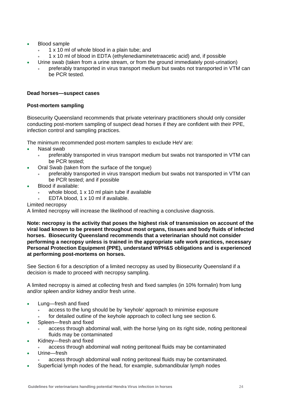- Blood sample
	- 1 x 10 ml of whole blood in a plain tube; and
	- 1 x 10 ml of blood in EDTA (ethylenediaminetetraacetic acid) and, if possible
- Urine swab (taken from a urine stream, or from the ground immediately post-urination)
	- preferably transported in virus transport medium but swabs not transported in VTM can be PCR tested.

#### **Dead horses—suspect cases**

#### **Post-mortem sampling**

Biosecurity Queensland recommends that private veterinary practitioners should only consider conducting post-mortem sampling of suspect dead horses if they are confident with their PPE, infection control and sampling practices.

The minimum recommended post-mortem samples to exclude HeV are:

- Nasal swab
	- preferably transported in virus transport medium but swabs not transported in VTM can be PCR tested;
- Oral Swab (taken from the surface of the tongue)
	- preferably transported in virus transport medium but swabs not transported in VTM can be PCR tested; and if possible
- Blood if available:
	- whole blood, 1 x 10 ml plain tube if available
	- EDTA blood, 1 x 10 ml if available.
- Limited necropsy

A limited necropsy will increase the likelihood of reaching a conclusive diagnosis.

**Note: necropsy is the activity that poses the highest risk of transmission on account of the viral load known to be present throughout most organs, tissues and body fluids of infected horses. Biosecurity Queensland recommends that a veterinarian should not consider performing a necropsy unless is trained in the appropriate safe work practices, necessary Personal Protection Equipment (PPE), understand WPH&S obligations and is experienced at performing post-mortems on horses.** 

See Section 6 for a description of a limited necropsy as used by Biosecurity Queensland if a decision is made to proceed with necropsy sampling.

A limited necropsy is aimed at collecting fresh and fixed samples (in 10% formalin) from lung and/or spleen and/or kidney and/or fresh urine.

- Lung—fresh and fixed
	- access to the lung should be by 'keyhole' approach to minimise exposure
	- for detailed outline of the keyhole approach to collect lung see section 6.
- Spleen—fresh and fixed
	- access through abdominal wall, with the horse lying on its right side, noting peritoneal fluids may be contaminated
- Kidney—fresh and fixed
	- access through abdominal wall noting peritoneal fluids may be contaminated
- Urine—fresh
	- access through abdominal wall noting peritoneal fluids may be contaminated.
- Superficial lymph nodes of the head, for example, submandibular lymph nodes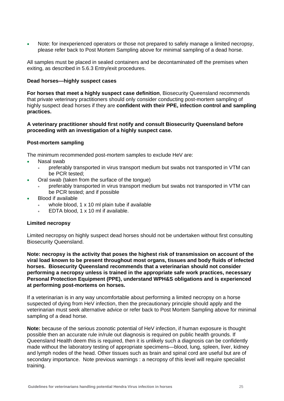Note: for inexperienced operators or those not prepared to safely manage a limited necropsy, please refer back to Post Mortem Sampling above for minimal sampling of a dead horse.

All samples must be placed in sealed containers and be decontaminated off the premises when exiting, as described in 5.6.3 Entry/exit procedures.

#### **Dead horses—highly suspect cases**

**For horses that meet a highly suspect case definition**, Biosecurity Queensland recommends that private veterinary practitioners should only consider conducting post-mortem sampling of highly suspect dead horses if they are **confident with their PPE, infection control and sampling practices.** 

**A veterinary practitioner should first notify and consult Biosecurity Queensland before proceeding with an investigation of a highly suspect case.** 

#### **Post-mortem sampling**

The minimum recommended post-mortem samples to exclude HeV are:

- Nasal swab
	- preferably transported in virus transport medium but swabs not transported in VTM can be PCR tested;
- Oral swab (taken from the surface of the tongue)
	- preferably transported in virus transport medium but swabs not transported in VTM can be PCR tested; and if possible
- Blood if available
	- whole blood, 1 x 10 ml plain tube if available
	- EDTA blood, 1 x 10 ml if available.

#### **Limited necropsy**

Limited necropsy on highly suspect dead horses should not be undertaken without first consulting Biosecurity Queensland.

**Note: necropsy is the activity that poses the highest risk of transmission on account of the viral load known to be present throughout most organs, tissues and body fluids of infected horses. Biosecurity Queensland recommends that a veterinarian should not consider performing a necropsy unless is trained in the appropriate safe work practices, necessary Personal Protection Equipment (PPE), understand WPH&S obligations and is experienced at performing post-mortems on horses.** 

If a veterinarian is in any way uncomfortable about performing a limited necropsy on a horse suspected of dying from HeV infection, then the precautionary principle should apply and the veterinarian must seek alternative advice or refer back to Post Mortem Sampling above for minimal sampling of a dead horse.

**Note:** because of the serious zoonotic potential of HeV infection, if human exposure is thought possible then an accurate rule in/rule out diagnosis is required on public health grounds. If Queensland Health deem this is required, then it is unlikely such a diagnosis can be confidently made without the laboratory testing of appropriate specimens—blood, lung, spleen, liver, kidney and lymph nodes of the head. Other tissues such as brain and spinal cord are useful but are of secondary importance. Note previous warnings : a necropsy of this level will require specialist training.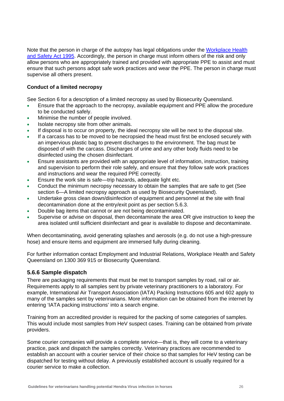Note that the person in charge of the autopsy has legal obligations under the [Workplace Health](http://www.legislation.qld.gov.au/LEGISLTN/CURRENT/W/WorkplHSaA95.pdf)  [and Safety Act 1995.](http://www.legislation.qld.gov.au/LEGISLTN/CURRENT/W/WorkplHSaA95.pdf) Accordingly, the person in charge must inform others of the risk and only allow persons who are appropriately trained and provided with appropriate PPE to assist and must ensure that such persons adopt safe work practices and wear the PPE. The person in charge must supervise all others present.

#### **Conduct of a limited necropsy**

See Section 6 for a description of a limited necropsy as used by Biosecurity Queensland.

- Ensure that the approach to the necropsy, available equipment and PPE allow the procedure to be conducted safely.
- Minimise the number of people involved.
- Isolate necropsy site from other animals.
- If disposal is to occur on property, the ideal necropsy site will be next to the disposal site.
- If a carcass has to be moved to be necropsied the head must first be enclosed securely with an impervious plastic bag to prevent discharges to the environment. The bag must be disposed of with the carcass. Discharges of urine and any other body fluids need to be disinfected using the chosen disinfectant.
- Ensure assistants are provided with an appropriate level of information, instruction, training and supervision to perform their role safely, and ensure that they follow safe work practices and instructions and wear the required PPE correctly.
- Ensure the work site is safe—trip hazards, adequate light etc.
- Conduct the minimum necropsy necessary to obtain the samples that are safe to get (See section 6—A limited necropsy approach as used by Biosecurity Queensland).
- Undertake gross clean down/disinfection of equipment and personnel at the site with final decontamination done at the entry/exit point as per section 5.6.3.
- Double bag items that cannot or are not being decontaminated.
- Supervise or advise on disposal, then decontaminate the area OR give instruction to keep the area isolated until sufficient disinfectant and gear is available to dispose and decontaminate.

When decontaminating, avoid generating splashes and aerosols (e.g. do not use a high-pressure hose) and ensure items and equipment are immersed fully during cleaning.

For further information contact Employment and Industrial Relations, Workplace Health and Safety Queensland on 1300 369 915 or Biosecurity Queensland.

#### <span id="page-28-0"></span>**5.6.6 Sample dispatch**

There are packaging requirements that must be met to transport samples by road, rail or air. Requirements apply to all samples sent by private veterinary practitioners to a laboratory. For example, International Air Transport Association (IATA) Packing Instructions 605 and 602 apply to many of the samples sent by veterinarians. More information can be obtained from the internet by entering 'IATA packing instructions' into a search engine.

Training from an accredited provider is required for the packing of some categories of samples. This would include most samples from HeV suspect cases. Training can be obtained from private providers.

Some courier companies will provide a complete service—that is, they will come to a veterinary practice, pack and dispatch the samples correctly. Veterinary practices are recommended to establish an account with a courier service of their choice so that samples for HeV testing can be dispatched for testing without delay. A previously established account is usually required for a courier service to make a collection.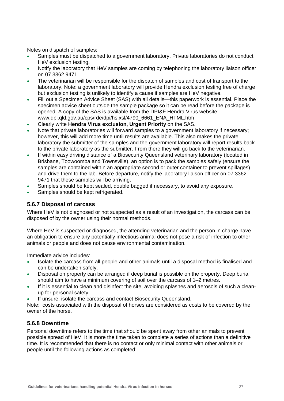Notes on dispatch of samples:

- Samples must be dispatched to a government laboratory. Private laboratories do not conduct HeV exclusion testing.
- Notify the laboratory that HeV samples are coming by telephoning the laboratory liaison officer on 07 3362 9471.
- The veterinarian will be responsible for the dispatch of samples and cost of transport to the laboratory. Note: a government laboratory will provide Hendra exclusion testing free of charge but exclusion testing is unlikely to identify a cause if samples are HeV negative.
- Fill out a Specimen Advice Sheet (SAS) with all details—this paperwork is essential. Place the specimen advice sheet outside the sample package so it can be read before the package is opened. A copy of the SAS is available from the DPI&F Hendra Virus website: www.dpi.qld.gov.au/cps/rde/dpi/hs.xsl/4790\_6661\_ENA\_HTML.htm
- Clearly write **Hendra Virus exclusion, Urgent Priority** on the SAS.
- Note that private laboratories will forward samples to a government laboratory if necessary; however, this will add more time until results are available. This also makes the private laboratory the submitter of the samples and the government laboratory will report results back to the private laboratory as the submitter. From there they will go back to the veterinarian.
- If within easy driving distance of a Biosecurity Queensland veterinary laboratory (located in Brisbane, Toowoomba and Townsville), an option is to pack the samples safely (ensure the samples are contained within an appropriate second or outer container to prevent spillages) and drive them to the lab. Before departure, notify the laboratory liaison officer on 07 3362 9471 that these samples will be arriving.
- Samples should be kept sealed, double bagged if necessary, to avoid any exposure.
- Samples should be kept refrigerated.

#### <span id="page-29-0"></span>**5.6.7 Disposal of carcass**

Where HeV is not diagnosed or not suspected as a result of an investigation, the carcass can be disposed of by the owner using their normal methods.

Where HeV is suspected or diagnosed, the attending veterinarian and the person in charge have an obligation to ensure any potentially infectious animal does not pose a risk of infection to other animals or people and does not cause environmental contamination.

Immediate advice includes:

- Isolate the carcass from all people and other animals until a disposal method is finalised and can be undertaken safely.
- Disposal on property can be arranged if deep burial is possible on the property. Deep burial should aim to have a minimum covering of soil over the carcass of 1–2 metres.
- If it is essential to clean and disinfect the site, avoiding splashes and aerosols of such a cleanup for personal safety.
- If unsure, isolate the carcass and contact Biosecurity Queensland.

Note: costs associated with the disposal of horses are considered as costs to be covered by the owner of the horse.

#### <span id="page-29-1"></span>**5.6.8 Downtime**

Personal downtime refers to the time that should be spent away from other animals to prevent possible spread of HeV. It is more the time taken to complete a series of actions than a definitive time. It is recommended that there is no contact or only minimal contact with other animals or people until the following actions as completed: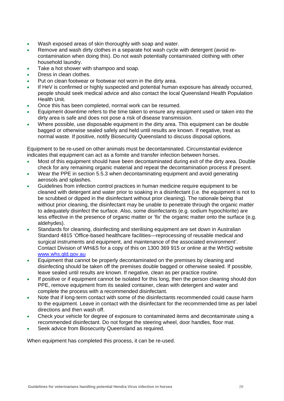- Wash exposed areas of skin thoroughly with soap and water.
- Remove and wash dirty clothes in a separate hot wash cycle with detergent (avoid recontamination when doing this). Do not wash potentially contaminated clothing with other household laundry.
- Take a hot shower with shampoo and soap.
- Dress in clean clothes.
- Put on clean footwear or footwear not worn in the dirty area.
- If HeV is confirmed or highly suspected and potential human exposure has already occurred, people should seek medical advice and also contact the local Queensland Health Population Health Unit.
- Once this has been completed, normal work can be resumed.
- Equipment downtime refers to the time taken to ensure any equipment used or taken into the dirty area is safe and does not pose a risk of disease transmission.
- Where possible, use disposable equipment in the dirty area. This equipment can be double bagged or otherwise sealed safely and held until results are known. If negative, treat as normal waste. If positive, notify Biosecurity Queensland to discuss disposal options.

Equipment to be re-used on other animals must be decontaminated. Circumstantial evidence indicates that equipment can act as a fomite and transfer infection between horses.

- Most of this equipment should have been decontaminated during exit of the dirty area. Double check for any remaining organic material and repeat the decontamination process if present.
- Wear the PPE in section 5.5.3 when decontaminating equipment and avoid generating aerosols and splashes.
- Guidelines from infection control practices in human medicine require equipment to be cleaned with detergent and water prior to soaking in a disinfectant (i.e. the equipment is not to be scrubbed or dipped in the disinfectant without prior cleaning). The rationale being that without prior cleaning, the disinfectant may be unable to penetrate through the organic matter to adequately disinfect the surface. Also, some disinfectants (e.g. sodium hypochlorite) are less effective in the presence of organic matter or 'fix' the organic matter onto the surface (e.g. aldehydes).
- Standards for cleaning, disinfecting and sterilising equipment are set down in Australian Standard 4815 'Office-based healthcare facilities—reprocessing of reusable medical and surgical instruments and equipment, and maintenance of the associated environment'. Contact Division of WH&S for a copy of this on 1300 369 915 or online at the WHSQ website [www.whs.qld.gov.au](http://www.whs.qld.gov.au/)
- Equipment that cannot be properly decontaminated on the premises by cleaning and disinfecting should be taken off the premises double bagged or otherwise sealed. If possible, leave sealed until results are known. If negative, clean as per practice routine.
- If positive or if equipment cannot be isolated for this long, then the person cleaning should don PPE, remove equipment from its sealed container, clean with detergent and water and complete the process with a recommended disinfectant.
- Note that if long-term contact with some of the disinfectants recommended could cause harm to the equipment. Leave in contact with the disinfectant for the recommended time as per label directions and then wash off.
- Check your vehicle for degree of exposure to contaminated items and decontaminate using a recommended disinfectant. Do not forget the steering wheel, door handles, floor mat.
- Seek advice from Biosecurity Queensland as required.

When equipment has completed this process, it can be re-used.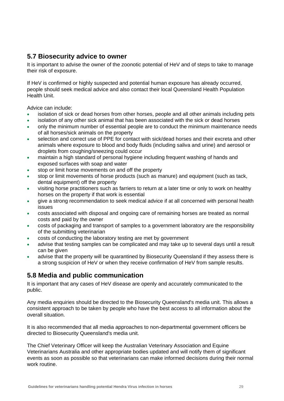## **5.7 Biosecurity advice to owner**

It is important to advise the owner of the zoonotic potential of HeV and of steps to take to manage their risk of exposure.

If HeV is confirmed or highly suspected and potential human exposure has already occurred, people should seek medical advice and also contact their local Queensland Health Population Health Unit.

Advice can include:

- isolation of sick or dead horses from other horses, people and all other animals including pets
- isolation of any other sick animal that has been associated with the sick or dead horses
- only the minimum number of essential people are to conduct the minimum maintenance needs of all horses/sick animals on the property
- selection and correct use of PPE for contact with sick/dead horses and their excreta and other animals where exposure to blood and body fluids (including saliva and urine) and aerosol or droplets from coughing/sneezing could occur
- maintain a high standard of personal hygiene including frequent washing of hands and exposed surfaces with soap and water
- stop or limit horse movements on and off the property
- stop or limit movements of horse products (such as manure) and equipment (such as tack, dental equipment) off the property
- visiting horse practitioners such as farriers to return at a later time or only to work on healthy horses on the property if that work is essential
- give a strong recommendation to seek medical advice if at all concerned with personal health issues
- costs associated with disposal and ongoing care of remaining horses are treated as normal costs and paid by the owner
- costs of packaging and transport of samples to a government laboratory are the responsibility of the submitting veterinarian
- costs of conducting the laboratory testing are met by government
- advise that testing samples can be complicated and may take up to several days until a result can be given
- advise that the property will be quarantined by Biosecurity Queensland if they assess there is a strong suspicion of HeV or when they receive confirmation of HeV from sample results.

## <span id="page-31-1"></span>**5.8 Media and public communication**

It is important that any cases of HeV disease are openly and accurately communicated to the public.

Any media enquiries should be directed to the Biosecurity Queensland's media unit. This allows a consistent approach to be taken by people who have the best access to all information about the overall situation.

It is also recommended that all media approaches to non-departmental government officers be directed to Biosecurity Queensland's media unit.

<span id="page-31-0"></span>The Chief Veterinary Officer will keep the Australian Veterinary Association and Equine Veterinarians Australia and other appropriate bodies updated and will notify them of significant events as soon as possible so that veterinarians can make informed decisions during their normal work routine.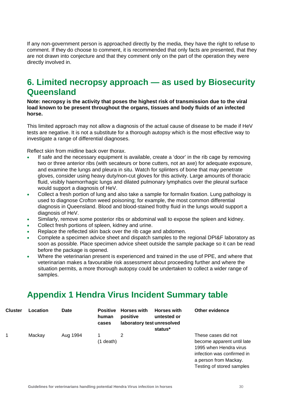If any non-government person is approached directly by the media, they have the right to refuse to comment. If they do choose to comment, it is recommended that only facts are presented, that they are not drawn into conjecture and that they comment only on the part of the operation they were directly involved in.

## <span id="page-32-0"></span>**6. Limited necropsy approach — as used by Biosecurity Queensland**

**Note: necropsy is the activity that poses the highest risk of transmission due to the viral load known to be present throughout the organs, tissues and body fluids of an infected horse.** 

This limited approach may not allow a diagnosis of the actual cause of disease to be made if HeV tests are negative. It is not a substitute for a thorough autopsy which is the most effective way to investigate a range of differential diagnoses.

Reflect skin from midline back over thorax.

- If safe and the necessary equipment is available, create a 'door' in the rib cage by removing two or three anterior ribs (with secateurs or bone cutters, not an axe) for adequate exposure, and examine the lungs and pleura in situ. Watch for splinters of bone that may penetrate gloves, consider using heavy duty/non-cut gloves for this activity. Large amounts of thoracic fluid, visibly haemorrhagic lungs and dilated pulmonary lymphatics over the pleural surface would support a diagnosis of HeV.
- Collect a fresh portion of lung and also take a sample for formalin fixation. Lung pathology is used to diagnose Crofton weed poisoning; for example, the most common differential diagnosis in Queensland. Blood and blood-stained frothy fluid in the lungs would support a diagnosis of HeV.
- Similarly, remove some posterior ribs or abdominal wall to expose the spleen and kidney.
- Collect fresh portions of spleen, kidney and urine.
- Replace the reflected skin back over the rib cage and abdomen.
- Complete a specimen advice sheet and dispatch samples to the regional DPI&F laboratory as soon as possible. Place specimen advice sheet outside the sample package so it can be read before the package is opened.
- Where the veterinarian present is experienced and trained in the use of PPE, and where that veterinarian makes a favourable risk assessment about proceeding further and where the situation permits, a more thorough autopsy could be undertaken to collect a wider range of samples.

## **Appendix 1 Hendra Virus Incident Summary table**

<span id="page-32-1"></span>

| <b>Cluster</b> | Location | Date     | human<br>cases | <b>Positive Horses with</b><br>positive<br>laboratory test unresolved | <b>Horses with</b><br>untested or<br>status* | <b>Other evidence</b>                                                              |
|----------------|----------|----------|----------------|-----------------------------------------------------------------------|----------------------------------------------|------------------------------------------------------------------------------------|
|                | Mackay   | Aug 1994 |                |                                                                       |                                              | These cases did not                                                                |
|                |          |          | $(1$ death)    |                                                                       |                                              | become apparent until late<br>1995 when Hendra virus<br>infection was confirmed in |

a person from Mackay. Testing of stored samples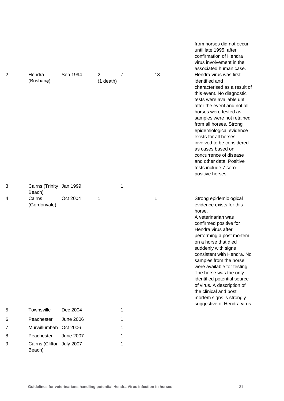| 2 | Hendra<br>(Brisbane)               | Sep 1994         | $\overline{2}$<br>$(1$ death) | 7 | 13 | until late 1995, after<br>confirmation of Hendra<br>virus involvement in the<br>associated human case.<br>Hendra virus was first<br>identified and<br>characterised as a result of<br>this event. No diagnostic<br>tests were available until<br>after the event and not all<br>horses were tested as<br>samples were not retained<br>from all horses. Strong<br>epidemiological evidence<br>exists for all horses<br>involved to be considered<br>as cases based on<br>concurrence of disease<br>and other data. Positive<br>tests include 7 sero-<br>positive horses. |
|---|------------------------------------|------------------|-------------------------------|---|----|-------------------------------------------------------------------------------------------------------------------------------------------------------------------------------------------------------------------------------------------------------------------------------------------------------------------------------------------------------------------------------------------------------------------------------------------------------------------------------------------------------------------------------------------------------------------------|
| 3 | Cairns (Trinity Jan 1999<br>Beach) |                  |                               | 1 |    |                                                                                                                                                                                                                                                                                                                                                                                                                                                                                                                                                                         |
| 4 | Cairns<br>(Gordonvale)             | Oct 2004         | 1                             |   | 1  | Strong epidemiological<br>evidence exists for this<br>horse.<br>A veterinarian was<br>confirmed positive for<br>Hendra virus after<br>performing a post mortem<br>on a horse that died<br>suddenly with signs<br>consistent with Hendra. No<br>samples from the horse<br>were available for testing.<br>The horse was the only<br>identified potential source<br>of virus. A description of<br>the clinical and post<br>mortem signs is strongly<br>suggestive of Hendra virus.                                                                                         |
| 5 | Townsville                         | Dec 2004         |                               | 1 |    |                                                                                                                                                                                                                                                                                                                                                                                                                                                                                                                                                                         |
| 6 | Peachester                         | <b>June 2006</b> |                               | 1 |    |                                                                                                                                                                                                                                                                                                                                                                                                                                                                                                                                                                         |
| 7 | Murwillumbah                       | Oct 2006         |                               | 1 |    |                                                                                                                                                                                                                                                                                                                                                                                                                                                                                                                                                                         |
| 8 | Peachester                         | <b>June 2007</b> |                               | 1 |    |                                                                                                                                                                                                                                                                                                                                                                                                                                                                                                                                                                         |

9 Cairns (Clifton July 2007 1 Beach)

from horses did not occur